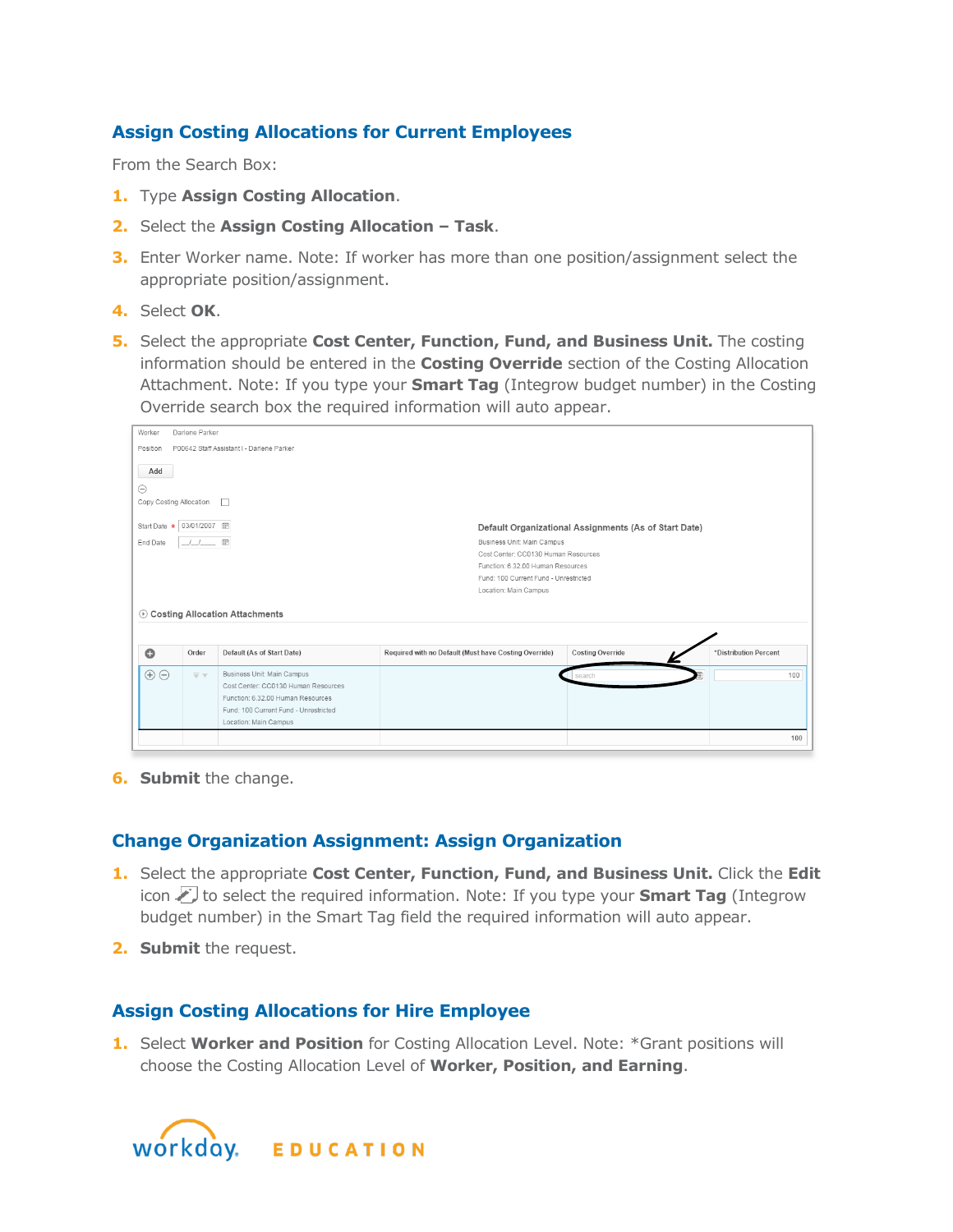## **Assign Costing Allocations for Current Employees**

From the Search Box:

- **1.** Type **Assign Costing Allocation**.
- **2.** Select the **Assign Costing Allocation – Task**.
- **3.** Enter Worker name. Note: If worker has more than one position/assignment select the appropriate position/assignment.
- **4.** Select **OK**.
- **5.** Select the appropriate Cost Center, Function, Fund, and Business Unit. The costing information should be entered in the **Costing Override** section of the Costing Allocation Attachment. Note: If you type your **Smart Tag** (Integrow budget number) in the Costing Override search box the required information will auto appear.

| Worker<br>Darlene Parker                                                                                                                                                                                                                                                                                           |                                      |                                                                                                                                                                          |                                                       |                  |                       |  |  |  |  |  |
|--------------------------------------------------------------------------------------------------------------------------------------------------------------------------------------------------------------------------------------------------------------------------------------------------------------------|--------------------------------------|--------------------------------------------------------------------------------------------------------------------------------------------------------------------------|-------------------------------------------------------|------------------|-----------------------|--|--|--|--|--|
| P00642 Staff Assistant I - Darlene Parker<br>Position                                                                                                                                                                                                                                                              |                                      |                                                                                                                                                                          |                                                       |                  |                       |  |  |  |  |  |
| Add<br>Θ<br>Copy Costing Allocation<br>$\Box$<br>03/01/2007 冊<br>Start Date *                                                                                                                                                                                                                                      |                                      |                                                                                                                                                                          |                                                       |                  |                       |  |  |  |  |  |
| Default Organizational Assignments (As of Start Date)<br>Business Unit Main Campus<br>$\overline{\Xi}$<br>End Date<br>Cost Center: CC0130 Human Resources<br>Function: 6.32.00 Human Resources<br>Fund: 100 Current Fund - Unrestricted<br>Location: Main Campus<br><b><i>O</i></b> Costing Allocation Attachments |                                      |                                                                                                                                                                          |                                                       |                  |                       |  |  |  |  |  |
| $\bullet$                                                                                                                                                                                                                                                                                                          | Order                                | Default (As of Start Date)                                                                                                                                               | Required with no Default (Must have Costing Override) | Costing Override | *Distribution Percent |  |  |  |  |  |
| $\oplus$                                                                                                                                                                                                                                                                                                           | $\overline{\mathbf{v}}$ $\mathbf{v}$ | Business Unit: Main Campus<br>Cost Center: CC0130 Human Resources<br>Function: 6.32.00 Human Resources<br>Fund: 100 Current Fund - Unrestricted<br>Location: Main Campus |                                                       | search           | 100                   |  |  |  |  |  |
|                                                                                                                                                                                                                                                                                                                    |                                      |                                                                                                                                                                          |                                                       |                  | 100                   |  |  |  |  |  |

**6. Submit** the change.

## **Change Organization Assignment: Assign Organization**

- **1.** Select the appropriate **Cost Center, Function, Fund, and Business Unit.** Click the **Edit** icon **the select the required information. Note: If you type your <b>Smart Tag** (Integrow budget number) in the Smart Tag field the required information will auto appear.
- **2. Submit** the request.

## **Assign Costing Allocations for Hire Employee**

**1.** Select **Worker and Position** for Costing Allocation Level. Note: \*Grant positions will choose the Costing Allocation Level of **Worker, Position, and Earning**.